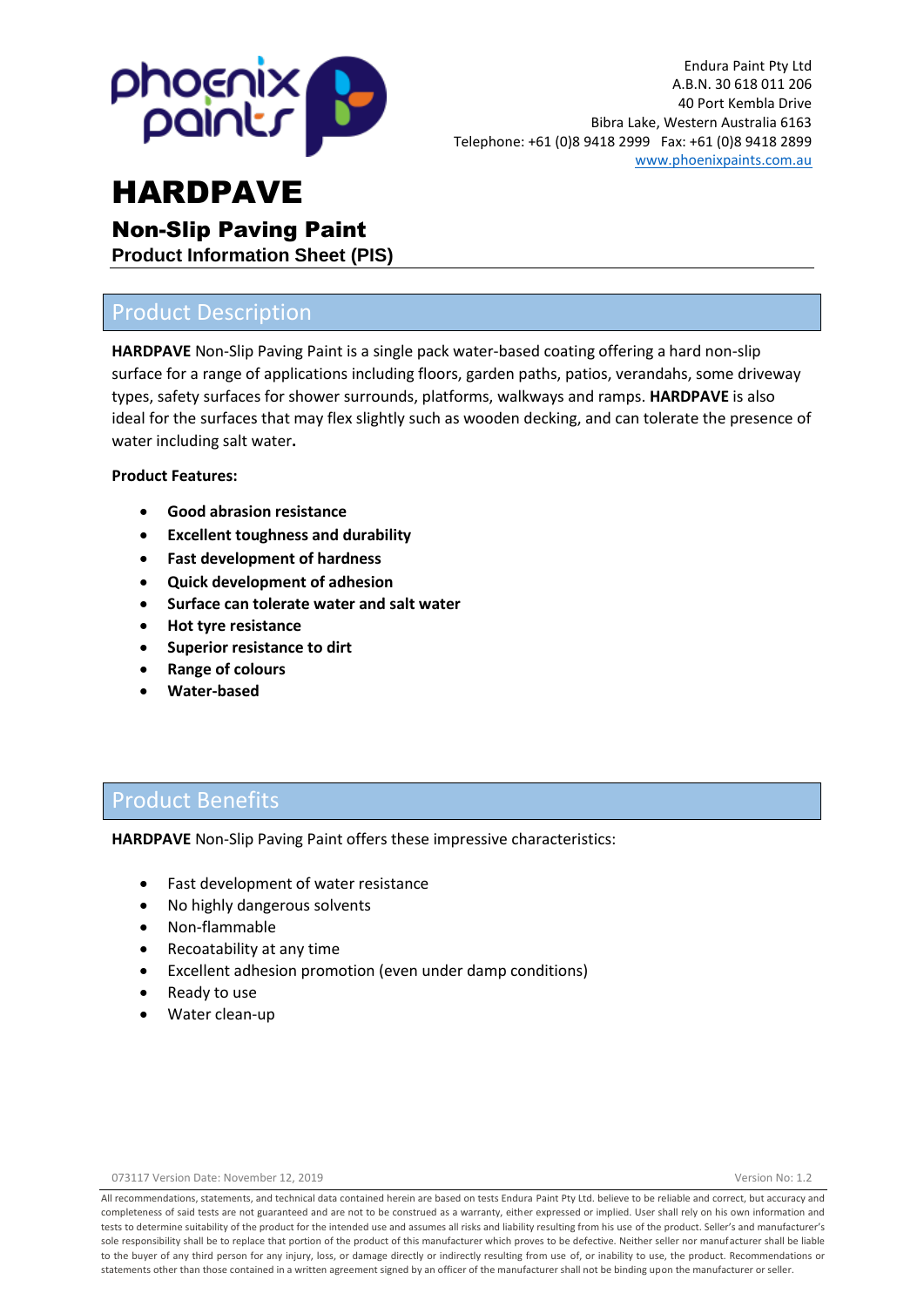

### Non-Slip Paving Paint

**Product Information Sheet (PIS)**

## Product Description

**HARDPAVE** Non-Slip Paving Paint is a single pack water-based coating offering a hard non-slip surface for a range of applications including floors, garden paths, patios, verandahs, some driveway types, safety surfaces for shower surrounds, platforms, walkways and ramps. **HARDPAVE** is also ideal for the surfaces that may flex slightly such as wooden decking, and can tolerate the presence of water including salt water**.**

#### **Product Features:**

- **Good abrasion resistance**
- **Excellent toughness and durability**
- **Fast development of hardness**
- **Quick development of adhesion**
- **Surface can tolerate water and salt water**
- **Hot tyre resistance**
- **Superior resistance to dirt**
- **Range of colours**
- **Water-based**

## Product Benefits

**HARDPAVE** Non-Slip Paving Paint offers these impressive characteristics:

- Fast development of water resistance
- No highly dangerous solvents
- Non-flammable
- Recoatability at any time
- Excellent adhesion promotion (even under damp conditions)
- Ready to use
- Water clean-up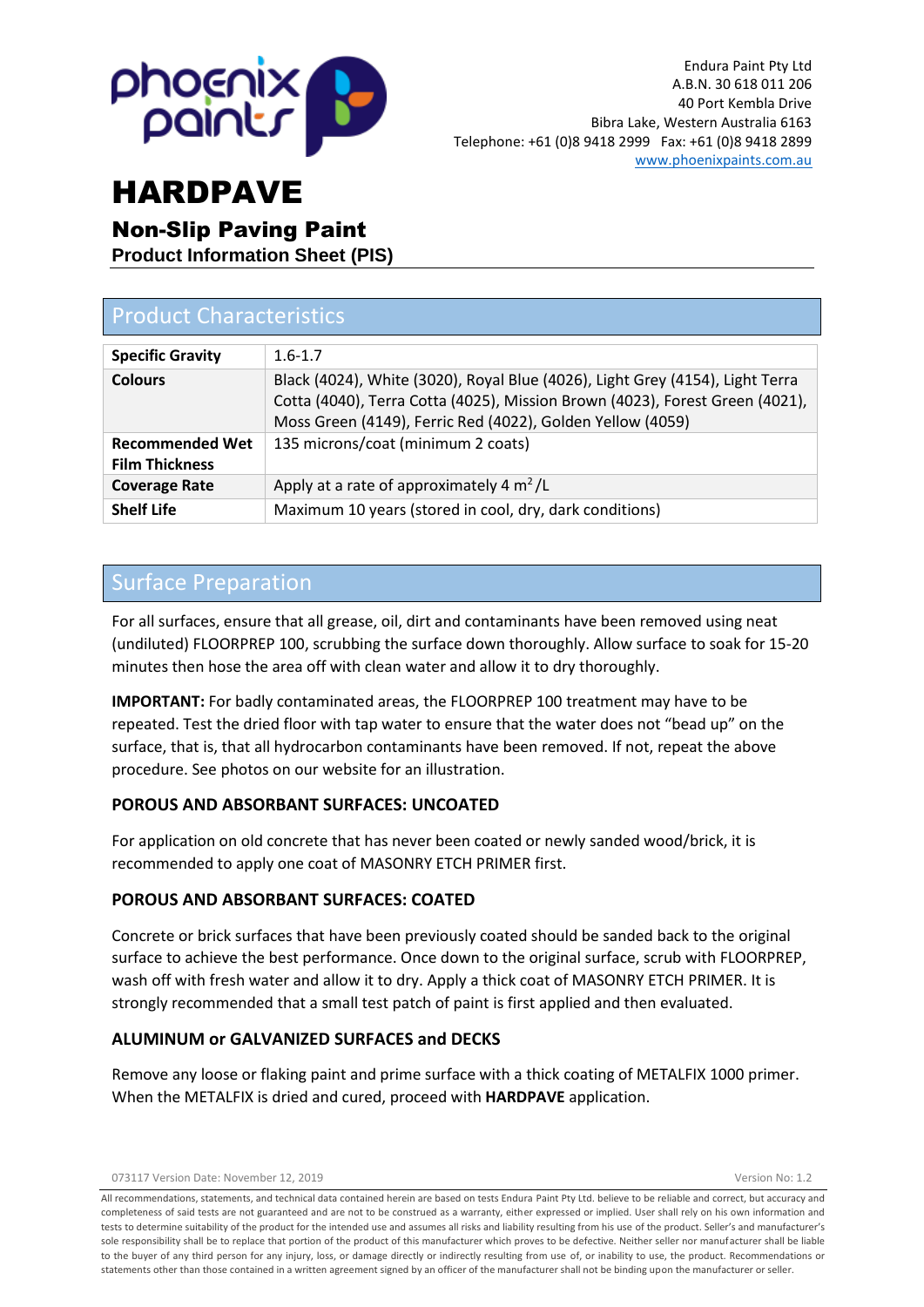

### Non-Slip Paving Paint

**Product Information Sheet (PIS)**

| <b>Product Characteristics</b>                  |                                                                                                                                                                                                                             |  |
|-------------------------------------------------|-----------------------------------------------------------------------------------------------------------------------------------------------------------------------------------------------------------------------------|--|
| <b>Specific Gravity</b>                         | $1.6 - 1.7$                                                                                                                                                                                                                 |  |
| <b>Colours</b>                                  | Black (4024), White (3020), Royal Blue (4026), Light Grey (4154), Light Terra<br>Cotta (4040), Terra Cotta (4025), Mission Brown (4023), Forest Green (4021),<br>Moss Green (4149), Ferric Red (4022), Golden Yellow (4059) |  |
| <b>Recommended Wet</b><br><b>Film Thickness</b> | 135 microns/coat (minimum 2 coats)                                                                                                                                                                                          |  |
| <b>Coverage Rate</b>                            | Apply at a rate of approximately 4 $m^2/L$                                                                                                                                                                                  |  |
| <b>Shelf Life</b>                               | Maximum 10 years (stored in cool, dry, dark conditions)                                                                                                                                                                     |  |

### Surface Preparation

For all surfaces, ensure that all grease, oil, dirt and contaminants have been removed using neat (undiluted) FLOORPREP 100, scrubbing the surface down thoroughly. Allow surface to soak for 15-20 minutes then hose the area off with clean water and allow it to dry thoroughly.

**IMPORTANT:** For badly contaminated areas, the FLOORPREP 100 treatment may have to be repeated. Test the dried floor with tap water to ensure that the water does not "bead up" on the surface, that is, that all hydrocarbon contaminants have been removed. If not, repeat the above procedure. See photos on our website for an illustration.

### **POROUS AND ABSORBANT SURFACES: UNCOATED**

For application on old concrete that has never been coated or newly sanded wood/brick, it is recommended to apply one coat of MASONRY ETCH PRIMER first.

#### **POROUS AND ABSORBANT SURFACES: COATED**

Concrete or brick surfaces that have been previously coated should be sanded back to the original surface to achieve the best performance. Once down to the original surface, scrub with FLOORPREP, wash off with fresh water and allow it to dry. Apply a thick coat of MASONRY ETCH PRIMER. It is strongly recommended that a small test patch of paint is first applied and then evaluated.

#### **ALUMINUM or GALVANIZED SURFACES and DECKS**

Remove any loose or flaking paint and prime surface with a thick coating of METALFIX 1000 primer. When the METALFIX is dried and cured, proceed with **HARDPAVE** application.

073117 Version Date: November 12, 2019 Version No: 1.2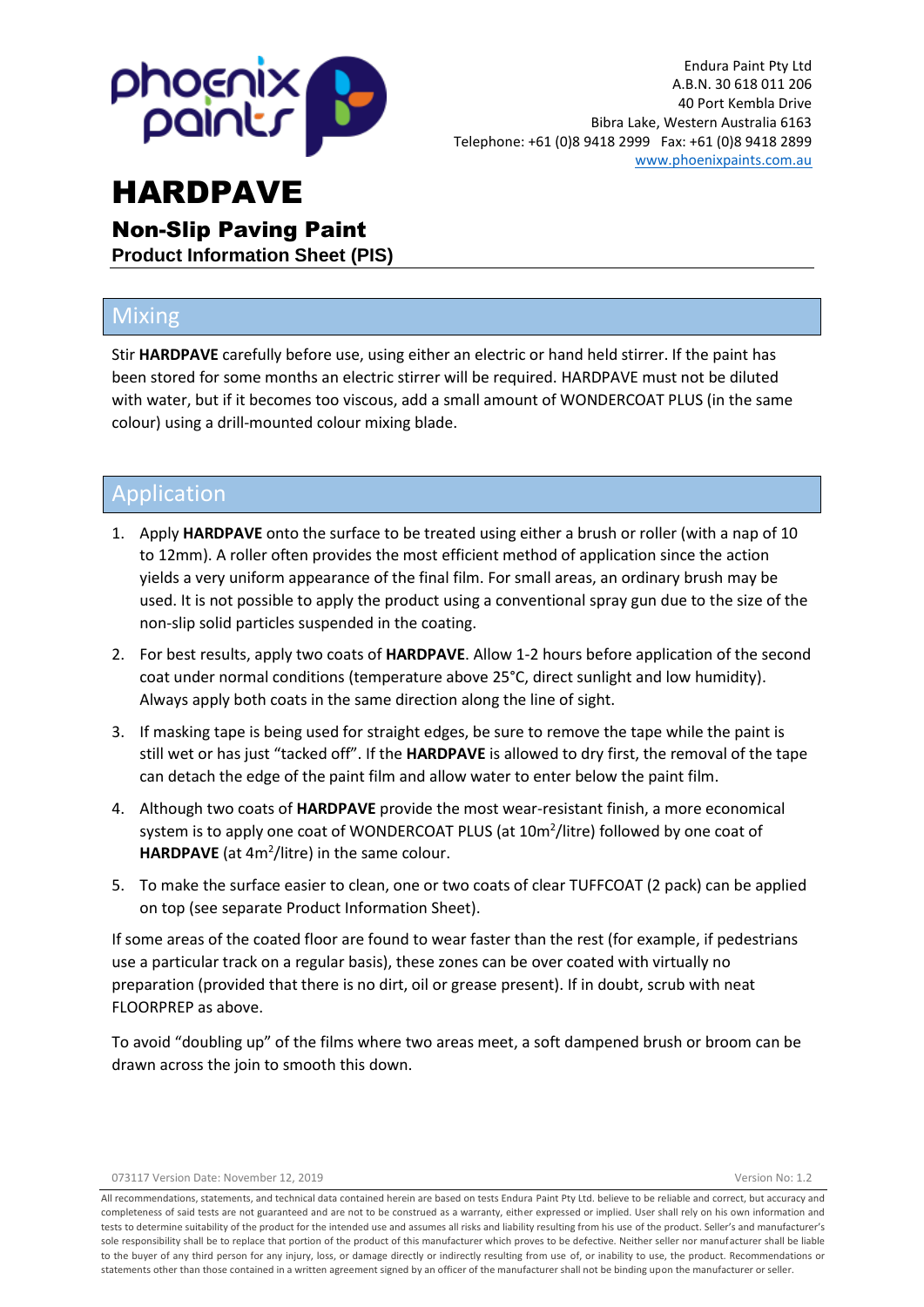

Non-Slip Paving Paint **Product Information Sheet (PIS)**

## Mixing

Stir **HARDPAVE** carefully before use, using either an electric or hand held stirrer. If the paint has been stored for some months an electric stirrer will be required. HARDPAVE must not be diluted with water, but if it becomes too viscous, add a small amount of WONDERCOAT PLUS (in the same colour) using a drill-mounted colour mixing blade.

## Application

- 1. Apply **HARDPAVE** onto the surface to be treated using either a brush or roller (with a nap of 10 to 12mm). A roller often provides the most efficient method of application since the action yields a very uniform appearance of the final film. For small areas, an ordinary brush may be used. It is not possible to apply the product using a conventional spray gun due to the size of the non-slip solid particles suspended in the coating.
- 2. For best results, apply two coats of **HARDPAVE**. Allow 1-2 hours before application of the second coat under normal conditions (temperature above 25°C, direct sunlight and low humidity). Always apply both coats in the same direction along the line of sight.
- 3. If masking tape is being used for straight edges, be sure to remove the tape while the paint is still wet or has just "tacked off". If the **HARDPAVE** is allowed to dry first, the removal of the tape can detach the edge of the paint film and allow water to enter below the paint film.
- 4. Although two coats of **HARDPAVE** provide the most wear-resistant finish, a more economical system is to apply one coat of WONDERCOAT PLUS (at 10m<sup>2</sup>/litre) followed by one coat of HARDPAVE (at 4m<sup>2</sup>/litre) in the same colour.
- 5. To make the surface easier to clean, one or two coats of clear TUFFCOAT (2 pack) can be applied on top (see separate Product Information Sheet).

If some areas of the coated floor are found to wear faster than the rest (for example, if pedestrians use a particular track on a regular basis), these zones can be over coated with virtually no preparation (provided that there is no dirt, oil or grease present). If in doubt, scrub with neat FLOORPREP as above.

To avoid "doubling up" of the films where two areas meet, a soft dampened brush or broom can be drawn across the join to smooth this down.

073117 Version Date: November 12, 2019 Version No: 1.2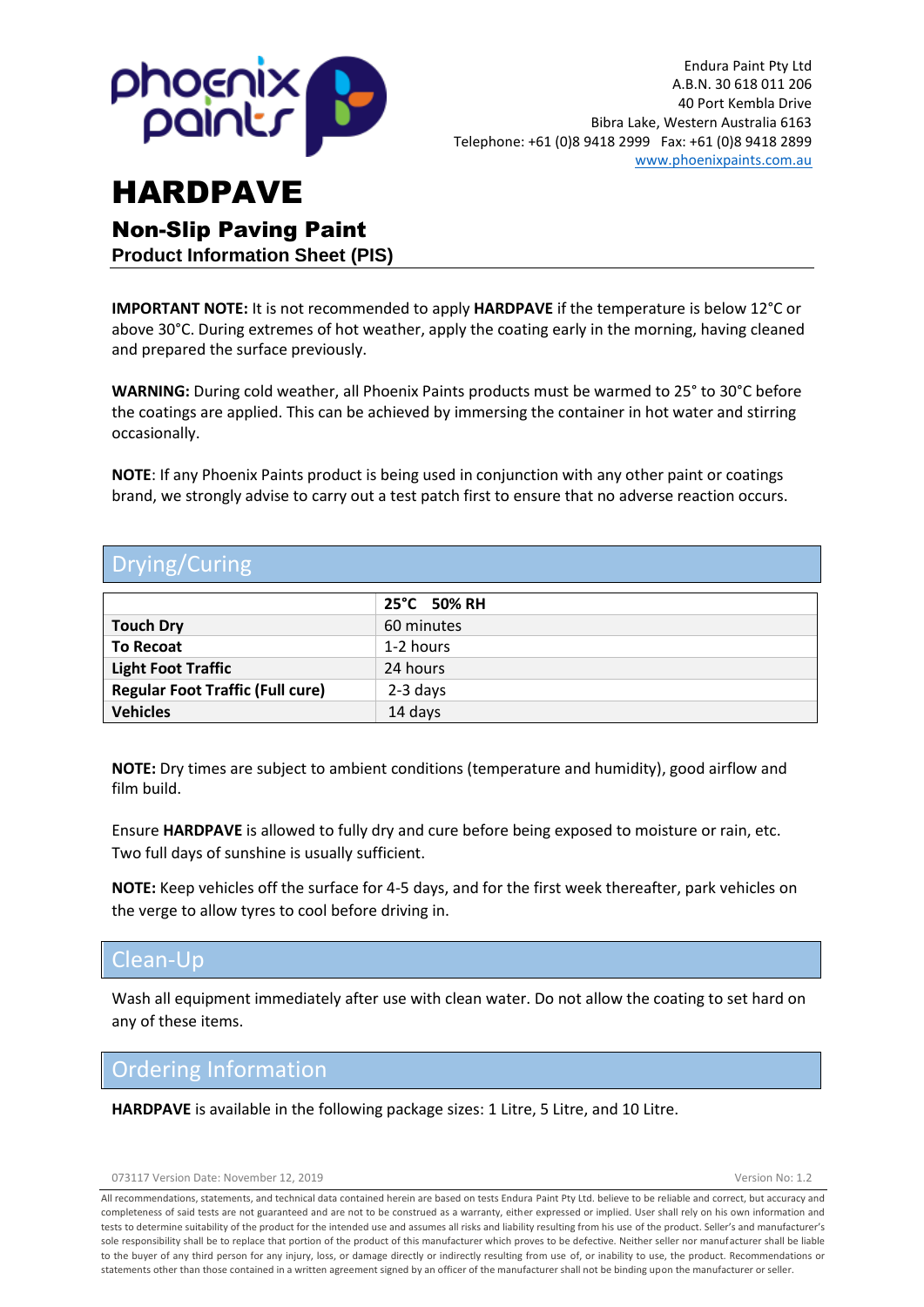

Non-Slip Paving Paint **Product Information Sheet (PIS)**

**IMPORTANT NOTE:** It is not recommended to apply **HARDPAVE** if the temperature is below 12°C or above 30°C. During extremes of hot weather, apply the coating early in the morning, having cleaned and prepared the surface previously.

**WARNING:** During cold weather, all Phoenix Paints products must be warmed to 25° to 30°C before the coatings are applied. This can be achieved by immersing the container in hot water and stirring occasionally.

**NOTE**: If any Phoenix Paints product is being used in conjunction with any other paint or coatings brand, we strongly advise to carry out a test patch first to ensure that no adverse reaction occurs.

## Drying/Curing

|                                         | 25°C 50% RH |  |
|-----------------------------------------|-------------|--|
| <b>Touch Dry</b>                        | 60 minutes  |  |
| <b>To Recoat</b>                        | 1-2 hours   |  |
| <b>Light Foot Traffic</b>               | 24 hours    |  |
| <b>Regular Foot Traffic (Full cure)</b> | $2-3$ days  |  |
| <b>Vehicles</b>                         | 14 days     |  |

**NOTE:** Dry times are subject to ambient conditions (temperature and humidity), good airflow and film build.

Ensure **HARDPAVE** is allowed to fully dry and cure before being exposed to moisture or rain, etc. Two full days of sunshine is usually sufficient.

**NOTE:** Keep vehicles off the surface for 4-5 days, and for the first week thereafter, park vehicles on the verge to allow tyres to cool before driving in.

### Clean-Up

Wash all equipment immediately after use with clean water. Do not allow the coating to set hard on any of these items.

### Ordering Information

**HARDPAVE** is available in the following package sizes: 1 Litre, 5 Litre, and 10 Litre.

073117 Version Date: November 12, 2019 Version No: 1.2